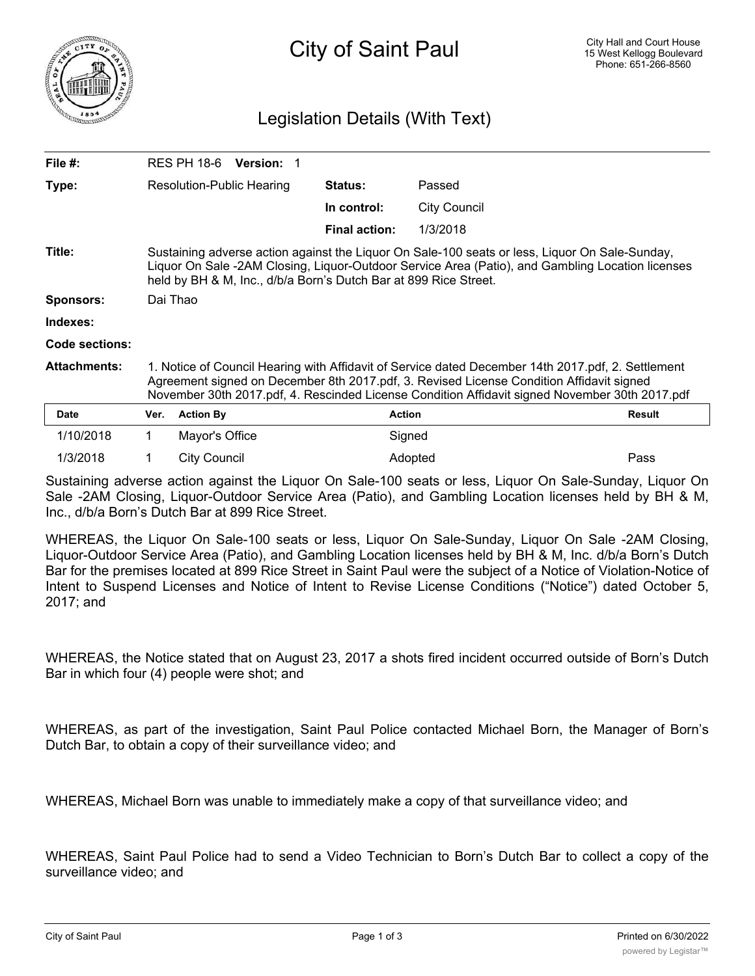

## Legislation Details (With Text)

| File $#$ :          |                                                                                                                                                                                                                                                                                                  | RES PH 18-6 Version: 1 |                      |                     |        |
|---------------------|--------------------------------------------------------------------------------------------------------------------------------------------------------------------------------------------------------------------------------------------------------------------------------------------------|------------------------|----------------------|---------------------|--------|
| Type:               | Resolution-Public Hearing                                                                                                                                                                                                                                                                        |                        | <b>Status:</b>       | Passed              |        |
|                     |                                                                                                                                                                                                                                                                                                  |                        | In control:          | <b>City Council</b> |        |
|                     |                                                                                                                                                                                                                                                                                                  |                        | <b>Final action:</b> | 1/3/2018            |        |
| Title:              | Sustaining adverse action against the Liquor On Sale-100 seats or less, Liquor On Sale-Sunday,<br>Liquor On Sale -2AM Closing, Liquor-Outdoor Service Area (Patio), and Gambling Location licenses<br>held by BH & M, Inc., d/b/a Born's Dutch Bar at 899 Rice Street.                           |                        |                      |                     |        |
| <b>Sponsors:</b>    | Dai Thao                                                                                                                                                                                                                                                                                         |                        |                      |                     |        |
| Indexes:            |                                                                                                                                                                                                                                                                                                  |                        |                      |                     |        |
| Code sections:      |                                                                                                                                                                                                                                                                                                  |                        |                      |                     |        |
| <b>Attachments:</b> | 1. Notice of Council Hearing with Affidavit of Service dated December 14th 2017.pdf, 2. Settlement<br>Agreement signed on December 8th 2017.pdf, 3. Revised License Condition Affidavit signed<br>November 30th 2017.pdf, 4. Rescinded License Condition Affidavit signed November 30th 2017.pdf |                        |                      |                     |        |
| Date                | Ver.                                                                                                                                                                                                                                                                                             | <b>Action By</b>       | <b>Action</b>        |                     | Result |
| 1/10/2018           | $\mathbf 1$                                                                                                                                                                                                                                                                                      | Mayor's Office         |                      | Signed              |        |
| 1/3/2018            |                                                                                                                                                                                                                                                                                                  | <b>City Council</b>    |                      | Adopted             | Pass   |

Sustaining adverse action against the Liquor On Sale-100 seats or less, Liquor On Sale-Sunday, Liquor On Sale -2AM Closing, Liquor-Outdoor Service Area (Patio), and Gambling Location licenses held by BH & M, Inc., d/b/a Born's Dutch Bar at 899 Rice Street.

WHEREAS, the Liquor On Sale-100 seats or less, Liquor On Sale-Sunday, Liquor On Sale -2AM Closing, Liquor-Outdoor Service Area (Patio), and Gambling Location licenses held by BH & M, Inc. d/b/a Born's Dutch Bar for the premises located at 899 Rice Street in Saint Paul were the subject of a Notice of Violation-Notice of Intent to Suspend Licenses and Notice of Intent to Revise License Conditions ("Notice") dated October 5, 2017; and

WHEREAS, the Notice stated that on August 23, 2017 a shots fired incident occurred outside of Born's Dutch Bar in which four (4) people were shot; and

WHEREAS, as part of the investigation, Saint Paul Police contacted Michael Born, the Manager of Born's Dutch Bar, to obtain a copy of their surveillance video; and

WHEREAS, Michael Born was unable to immediately make a copy of that surveillance video; and

WHEREAS, Saint Paul Police had to send a Video Technician to Born's Dutch Bar to collect a copy of the surveillance video; and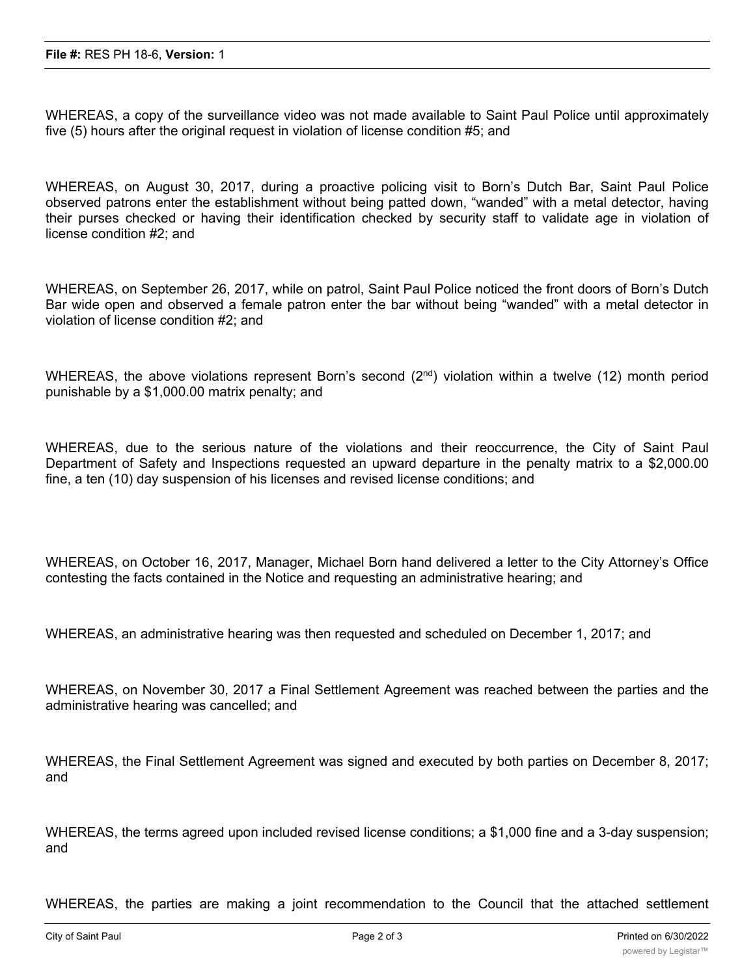WHEREAS, a copy of the surveillance video was not made available to Saint Paul Police until approximately five (5) hours after the original request in violation of license condition #5; and

WHEREAS, on August 30, 2017, during a proactive policing visit to Born's Dutch Bar, Saint Paul Police observed patrons enter the establishment without being patted down, "wanded" with a metal detector, having their purses checked or having their identification checked by security staff to validate age in violation of license condition #2; and

WHEREAS, on September 26, 2017, while on patrol, Saint Paul Police noticed the front doors of Born's Dutch Bar wide open and observed a female patron enter the bar without being "wanded" with a metal detector in violation of license condition #2; and

WHEREAS, the above violations represent Born's second  $(2^{nd})$  violation within a twelve (12) month period punishable by a \$1,000.00 matrix penalty; and

WHEREAS, due to the serious nature of the violations and their reoccurrence, the City of Saint Paul Department of Safety and Inspections requested an upward departure in the penalty matrix to a \$2,000.00 fine, a ten (10) day suspension of his licenses and revised license conditions; and

WHEREAS, on October 16, 2017, Manager, Michael Born hand delivered a letter to the City Attorney's Office contesting the facts contained in the Notice and requesting an administrative hearing; and

WHEREAS, an administrative hearing was then requested and scheduled on December 1, 2017; and

WHEREAS, on November 30, 2017 a Final Settlement Agreement was reached between the parties and the administrative hearing was cancelled; and

WHEREAS, the Final Settlement Agreement was signed and executed by both parties on December 8, 2017; and

WHEREAS, the terms agreed upon included revised license conditions; a \$1,000 fine and a 3-day suspension; and

WHEREAS, the parties are making a joint recommendation to the Council that the attached settlement